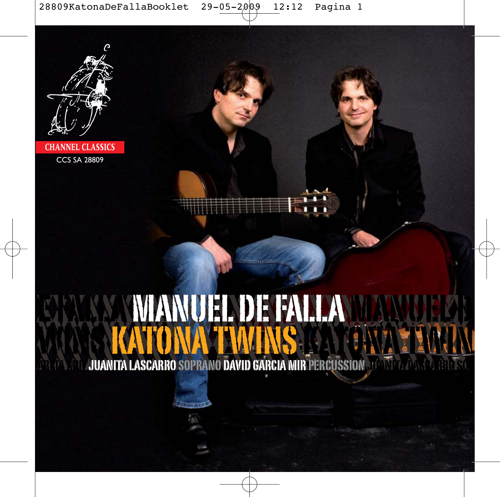

CCS SA 28809 **CHANNEL CLASSICS**

# XXXXXXXXXXXXXXXXXXXXXXXXXXX E FALLA MANUEL DE FALLAMANUEL D WINS KATONA TWINS KATONA TWIN

**JUANITA LASCARRO SOPRANO DAVID GARCIA**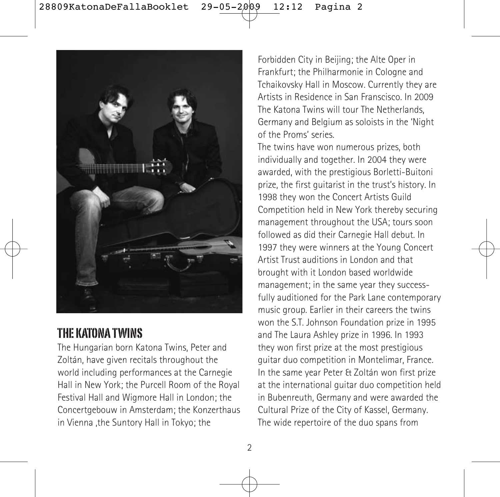

## THE KATONA TWINS

The Hungarian born Katona Twins, Peter and Zoltán, have given recitals throughout the world including performances at the Carnegie Hall in New York; the Purcell Room of the Royal Festival Hall and Wigmore Hall in London; the Concertgebouw in Amsterdam; the Konzerthaus in Vienna ,the Suntory Hall in Tokyo; the

Forbidden City in Beijing; the Alte Oper in Frankfurt; the Philharmonie in Cologne and Tchaikovsky Hall in Moscow. Currently they are Artists in Residence in San Franscisco. In 2009 The Katona Twins will tour The Netherlands, Germany and Belgium as soloists in the 'Night of the Proms' series.

The twins have won numerous prizes, both individually and together. In 2004 they were awarded, with the prestigious Borletti-Buitoni prize, the first guitarist in the trust's history. In 1998 they won the Concert Artists Guild Competition held in New York thereby securing management throughout the USA; tours soon followed as did their Carnegie Hall debut. In 1997 they were winners at the Young Concert Artist Trust auditions in London and that brought with it London based worldwide management; in the same year they successfully auditioned for the Park Lane contemporary music group. Earlier in their careers the twins won the ST. Johnson Foundation prize in 1995 and The Laura Ashley prize in 1996. In 1993 they won first prize at the most prestigious guitar duo competition in Montelimar, France. In the same year Peter & Zoltán won first prize at the international guitar duo competition held in Bubenreuth, Germany and were awarded the Cultural Prize of the City of Kassel, Germany. The wide repertoire of the duo spans from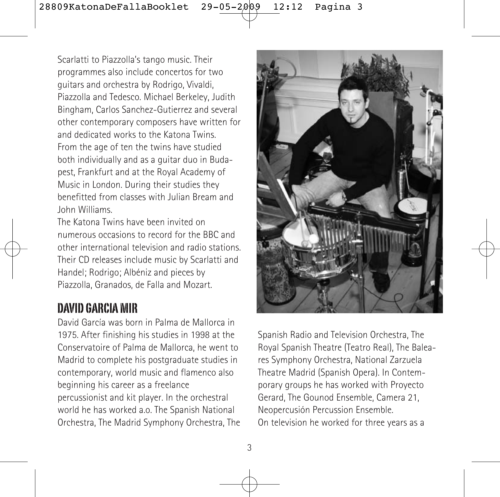Scarlatti to Piazzolla's tango music. Their programmes also include concertos for two guitars and orchestra by Rodrigo, Vivaldi, Piazzolla and Tedesco. Michael Berkeley, Judith Bingham, Carlos Sanchez-Gutierrez and several other contemporary composers have written for and dedicated works to the Katona Twins. From the age of ten the twins have studied both individually and as a guitar duo in Budapest, Frankfurt and at the Royal Academy of Music in London. During their studies they benefitted from classes with Julian Bream and John Williams.

The Katona Twins have been invited on numerous occasions to record for the BBC and other international television and radio stations. Their CD releases include music by Scarlatti and Handel; Rodrigo; Albéniz and pieces by Piazzolla, Granados, de Falla and Mozart.

## DAVID GARCIA MIR

David García was born in Palma de Mallorca in 1975. After finishing his studies in 1998 at the Conservatoire of Palma de Mallorca, he went to Madrid to complete his postgraduate studies in contemporary, world music and flamenco also beginning his career as a freelance percussionist and kit player. In the orchestral world he has worked a.o. The Spanish National Orchestra, The Madrid Symphony Orchestra, The



Spanish Radio and Television Orchestra, The Royal Spanish Theatre (Teatro Real), The Baleares Symphony Orchestra, National Zarzuela Theatre Madrid (Spanish Opera). In Contemporary groups he has worked with Proyecto Gerard, The Gounod Ensemble, Camera 21, Neopercusión Percussion Ensemble. On television he worked for three years as a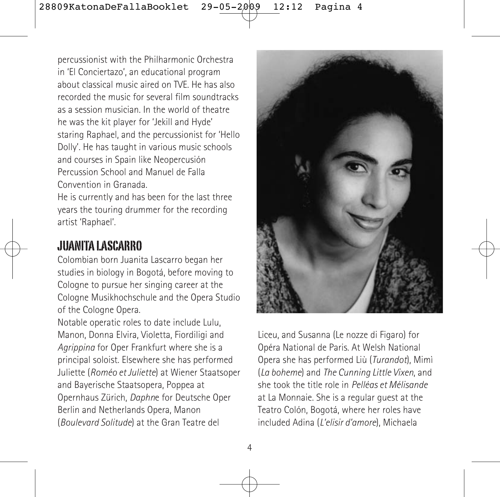percussionist with the Philharmonic Orchestra in 'El Conciertazo', an educational program about classical music aired on TVE. He has also recorded the music for several film soundtracks as a session musician. In the world of theatre he was the kit player for 'Jekill and Hyde' staring Raphael, and the percussionist for 'Hello Dolly'. He has taught in various music schools and courses in Spain like Neopercusión Percussion School and Manuel de Falla Convention in Granada.

He is currently and has been for the last three years the touring drummer for the recording artist 'Raphael'.

## JUANITA LASCARRO

Colombian born Juanita Lascarro began her studies in biology in Bogotá, before moving to Cologne to pursue her singing career at the Cologne Musikhochschule and the Opera Studio of the Cologne Opera.

Notable operatic roles to date include Lulu, Manon, Donna Elvira, Violetta, Fiordiligi and *Agrippina* for Oper Frankfurt where she is a principal soloist. Elsewhere she has performed Juliette (*Roméo et Juliette*) at Wiener Staatsoper and Bayerische Staatsopera, Poppea at Opernhaus Zürich, *Daphn*e for Deutsche Oper Berlin and Netherlands Opera, Manon (*Boulevard Solitude*) at the Gran Teatre del



Liceu, and Susanna (Le nozze di Figaro) for Opéra National de Paris. At Welsh National Opera she has performed Liù (*Turandot*), Mimì (*La boheme*) and *The Cunning Little Vixen*, and she took the title role in *Pelléas et Mélisande* at La Monnaie. She is a regular guest at the Teatro Colón, Bogotá, where her roles have included Adina (*L'elisir d'amore*), Michaela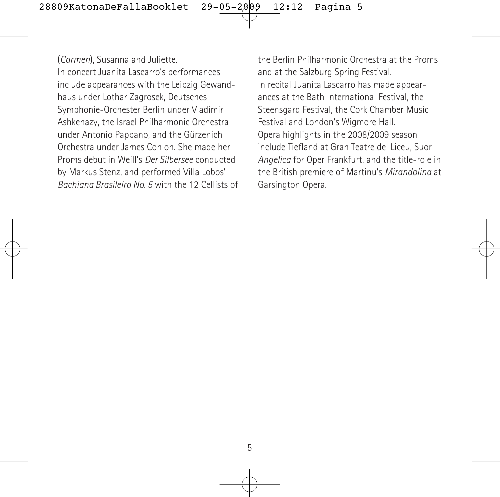(*Carmen*), Susanna and Juliette. In concert Juanita Lascarro's performances include appearances with the Leipzig Gewandhaus under Lothar Zagrosek, Deutsches Symphonie-Orchester Berlin under Vladimir Ashkenazy, the Israel Philharmonic Orchestra under Antonio Pappano, and the Gürzenich Orchestra under James Conlon. She made her Proms debut in Weill's *Der Silbersee* conducted by Markus Stenz, and performed Villa Lobos' *Bachiana Brasileira No. 5* with the 12 Cellists of the Berlin Philharmonic Orchestra at the Proms and at the Salzburg Spring Festival. In recital Juanita Lascarro has made appearances at the Bath International Festival, the Steensgard Festival, the Cork Chamber Music Festival and London's Wigmore Hall. Opera highlights in the 2008/2009 season include Tiefland at Gran Teatre del Liceu, Suor *Angelica* for Oper Frankfurt, and the title-role in the British premiere of Martinu's *Mirandolina* at Garsington Opera.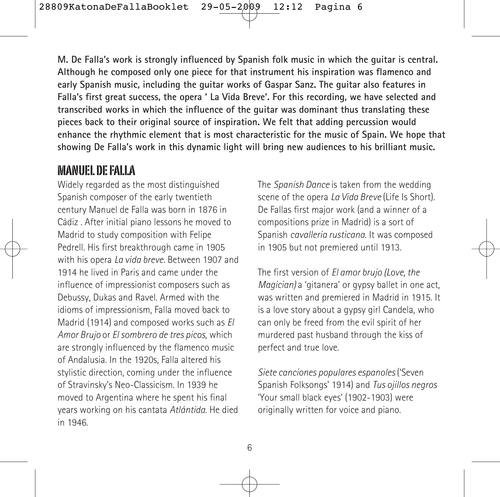**M. De Falla's work is strongly influenced by Spanish folk music in which the guitar is central. Although he composed only one piece for that instrument his inspiration was flamenco and early Spanish music, including the guitar works of Gaspar Sanz. The guitar also features in Falla's first great success, the opera ' La Vida Breve'. For this recording, we have selected and transcribed works in which the influence of the guitar was dominant thus translating these pieces back to their original source of inspiration. We felt that adding percussion would enhance the rhythmic element that is most characteristic for the music of Spain. We hope that showing De Falla's work in this dynamic light will bring new audiences to his brilliant music.**

## MANUEL DE FALLA

Widely regarded as the most distinguished Spanish composer of the early twentieth century Manuel de Falla was born in 1876 in Cádiz . After initial piano lessons he moved to Madrid to study composition with Felipe Pedrell. His first breakthrough came in 1905 with his opera *La vida breve.* Between 1907 and 1914 he lived in Paris and came under the influence of impressionist composers such as Debussy, Dukas and Ravel. Armed with the idioms of impressionism, Falla moved back to Madrid (1914) and composed works such as *El Amor Brujo* or *El sombrero de tres picos*, which are strongly influenced by the flamenco music of Andalusia. In the 1920s, Falla altered his stylistic direction, coming under the influence of Stravinsky's Neo-Classicism. In 1939 he moved to Argentina where he spent his final years working on his cantata *Atlántida*. He died in 1946.

The *Spanish Dance* is taken from the wedding scene of the opera *La Vida Breve* (Life Is Short). De Fallas first major work (and a winner of a compositions prize in Madrid) is a sort of Spanish *cavalleria rusticana*. It was composed in 1905 but not premiered until 1913.

The first version of *El amor brujo (Love, the Magician)* a 'gitanera' or gypsy ballet in one act, was written and premiered in Madrid in 1915. It is a love story about a gypsy girl Candela, who can only be freed from the evil spirit of her murdered past husband through the kiss of perfect and true love.

*Siete canciones populares espanoles* ('Seven Spanish Folksongs' 1914) and *Tus ojillos negros* 'Your small black eyes' (1902-1903) were originally written for voice and piano.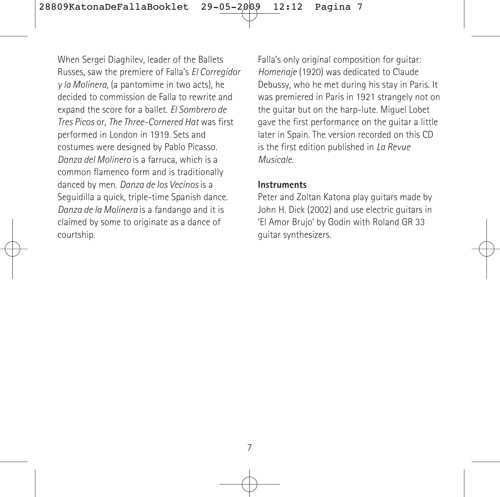When Sergei Diaghilev, leader of the Ballets Russes, saw the premiere of Falla's *El Corregidor y la Molinera,* (a pantomime in two acts), he decided to commission de Falla to rewrite and expand the score for a ballet. *El Sombrero de Tres Picos* or, *The Three-Cornered Hat* was first performed in London in 1919. Sets and costumes were designed by Pablo Picasso. *Danza del Molinero* is a farruca, which is a common flamenco form and is traditionally danced by men. *Danza de los Vecinos* is a Seguidilla a quick, triple-time Spanish dance. *Danza de la Molinera* is a fandango and it is claimed by some to originate as a dance of courtship.

Falla's only original composition for quitar: *Homenaje* (1920) was dedicated to Claude Debussy, who he met during his stay in Paris. It was premiered in Paris in 1921 strangely not on the guitar but on the harp-lute. Miguel Lobet gave the first performance on the guitar a little later in Spain. The version recorded on this CD is the first edition published in *La Revue Musicale*.

#### **Instruments**

Peter and Zoltan Katona play guitars made by John H. Dick (2002) and use electric guitars in 'El Amor Brujo' by Godin with Roland GR 33 guitar synthesizers.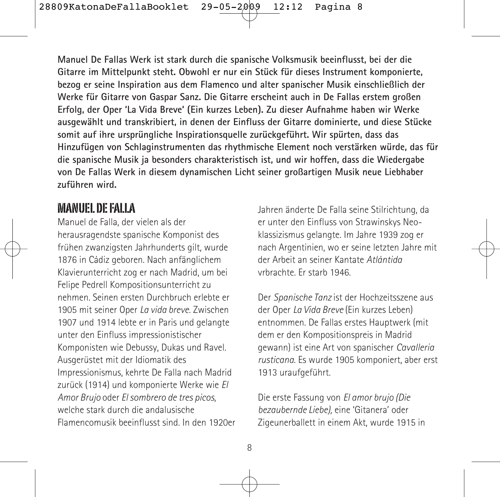**Manuel De Fallas Werk ist stark durch die spanische Volksmusik beeinflusst, bei der die Gitarre im Mittelpunkt steht. Obwohl er nur ein Stück für dieses Instrument komponierte, bezog er seine Inspiration aus dem Flamenco und alter spanischer Musik einschließlich der Werke für Gitarre von Gaspar Sanz. Die Gitarre erscheint auch in De Fallas erstem großen Erfolg, der Oper 'La Vida Breve' (Ein kurzes Leben). Zu dieser Aufnahme haben wir Werke ausgewählt und transkribiert, in denen der Einfluss der Gitarre dominierte, und diese Stücke somit auf ihre ursprüngliche Inspirationsquelle zurückgeführt. Wir spürten, dass das Hinzufügen von Schlaginstrumenten das rhythmische Element noch verstärken würde, das für die spanische Musik ja besonders charakteristisch ist, und wir hoffen, dass die Wiedergabe von De Fallas Werk in diesem dynamischen Licht seiner großartigen Musik neue Liebhaber zuführen wird.**

## MANUEL DE FALLA

Manuel de Falla, der vielen als der herausragendste spanische Komponist des frühen zwanzigsten Jahrhunderts gilt, wurde 1876 in Cádiz geboren. Nach anfänglichem Klavierunterricht zog er nach Madrid, um bei Felipe Pedrell Kompositionsunterricht zu nehmen. Seinen ersten Durchbruch erlebte er 1905 mit seiner Oper *La vida breve.* Zwischen 1907 und 1914 lebte er in Paris und gelangte unter den Einfluss impressionistischer Komponisten wie Debussy, Dukas und Ravel. Ausgerüstet mit der Idiomatik des Impressionismus, kehrte De Falla nach Madrid zurück (1914) und komponierte Werke wie *El Amor Brujo* oder *El sombrero de tres picos*, welche stark durch die andalusische Flamencomusik beeinflusst sind. In den 1920er Jahren änderte De Falla seine Stilrichtung, da er unter den Einfluss von Strawinskys Neoklassizismus gelangte. Im Jahre 1939 zog er nach Argentinien, wo er seine letzten Jahre mit der Arbeit an seiner Kantate *Atlántida* vrbrachte. Er starb 1946.

Der *Spanische Tanz* ist der Hochzeitsszene aus der Oper *La Vida Breve* (Ein kurzes Leben) entnommen. De Fallas erstes Hauptwerk (mit dem er den Kompositionspreis in Madrid gewann) ist eine Art von spanischer *Cavalleria rusticana*. Es wurde 1905 komponiert, aber erst 1913 uraufgeführt.

Die erste Fassung von *El amor brujo (Die bezaubernde Liebe),* eine 'Gitanera' oder Zigeunerballett in einem Akt, wurde 1915 in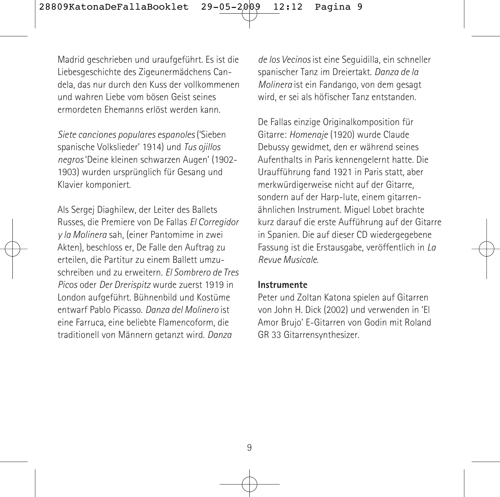Madrid geschrieben und uraufgeführt. Es ist die Liebesgeschichte des Zigeunermädchens Candela, das nur durch den Kuss der vollkommenen und wahren Liebe vom bösen Geist seines ermordeten Ehemanns erlöst werden kann.

*Siete canciones populares espanoles* ('Sieben spanische Volkslieder' 1914) und *Tus ojillos negros* 'Deine kleinen schwarzen Augen' (1902- 1903) wurden ursprünglich für Gesang und Klavier komponiert.

Als Sergej Diaghilew, der Leiter des Ballets Russes, die Premiere von De Fallas *El Corregidor y la Molinera* sah, (einer Pantomime in zwei Akten), beschloss er, De Falle den Auftrag zu erteilen, die Partitur zu einem Ballett umzuschreiben und zu erweitern. *El Sombrero de Tres Picos* oder *Der Drerispitz* wurde zuerst 1919 in London aufgeführt. Bühnenbild und Kostüme entwarf Pablo Picasso. *Danza del Molinero* ist eine Farruca, eine beliebte Flamencoform, die traditionell von Männern getanzt wird. *Danza*

*de los Vecinos* ist eine Seguidilla, ein schneller spanischer Tanz im Dreiertakt. *Danza de la Molinera* ist ein Fandango, von dem gesagt wird, er sei als höfischer Tanz entstanden.

De Fallas einzige Originalkomposition für Gitarre: *Homenaje* (1920) wurde Claude Debussy gewidmet, den er während seines Aufenthalts in Paris kennengelernt hatte. Die Uraufführung fand 1921 in Paris statt, aber merkwürdigerweise nicht auf der Gitarre, sondern auf der Harp-lute, einem gitarrenähnlichen Instrument. Miguel Lobet brachte kurz darauf die erste Aufführung auf der Gitarre in Spanien. Die auf dieser CD wiedergegebene Fassung ist die Erstausgabe, veröffentlich in *La Revue Musicale*.

#### **Instrumente**

Peter und Zoltan Katona spielen auf Gitarren von John H. Dick (2002) und verwenden in 'El Amor Brujo' E-Gitarren von Godin mit Roland GR 33 Gitarrensynthesizer.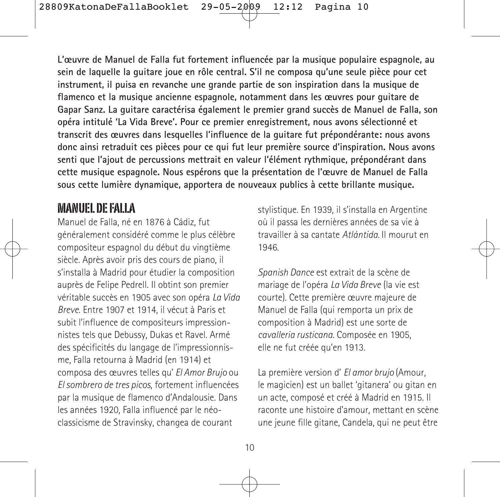**L'œuvre de Manuel de Falla fut fortement influencée par la musique populaire espagnole, au sein de laquelle la guitare joue en rôle central. S'il ne composa qu'une seule pièce pour cet instrument, il puisa en revanche une grande partie de son inspiration dans la musique de flamenco et la musique ancienne espagnole, notamment dans les œuvres pour guitare de Gapar Sanz. La guitare caractérisa également le premier grand succès de Manuel de Falla, son opéra intitulé 'La Vida Breve'. Pour ce premier enregistrement, nous avons sélectionné et transcrit des œuvres dans lesquelles l'influence de la guitare fut prépondérante: nous avons donc ainsi retraduit ces pièces pour ce qui fut leur première source d'inspiration. Nous avons senti que l'ajout de percussions mettrait en valeur l'élément rythmique, prépondérant dans cette musique espagnole. Nous espérons que la présentation de l'œuvre de Manuel de Falla sous cette lumière dynamique, apportera de nouveaux publics à cette brillante musique.**

## MANUEL DE FALLA

Manuel de Falla, né en 1876 à Cádiz, fut généralement considéré comme le plus célèbre compositeur espagnol du début du vingtième siècle. Après avoir pris des cours de piano, il s'installa à Madrid pour étudier la composition auprès de Felipe Pedrell. Il obtint son premier véritable succès en 1905 avec son opéra *La Vida Breve*. Entre 1907 et 1914, il vécut à Paris et subit l'influence de compositeurs impressionnistes tels que Debussy, Dukas et Ravel. Armé des spécificités du langage de l'impressionnisme, Falla retourna à Madrid (en 1914) et composa des œuvres telles qu' *El Amor Brujo* ou *El sombrero de tres picos*, fortement influencées par la musique de flamenco d'Andalousie. Dans les années 1920, Falla influencé par le néoclassicisme de Stravinsky, changea de courant

stylistique. En 1939, il s'installa en Argentine où il passa les dernières années de sa vie à travailler à sa cantate *Atlántida.* Il mourut en 1946.

*Spanish Dance* est extrait de la scène de mariage de l'opéra *La Vida Breve* (la vie est courte). Cette première œuvre majeure de Manuel de Falla (qui remporta un prix de composition à Madrid) est une sorte de *cavalleria rusticana*. Composée en 1905, elle ne fut créée qu'en 1913.

La première version d' *El amor brujo* (Amour, le magicien) est un ballet 'gitanera' ou gitan en un acte, composé et créé à Madrid en 1915. Il raconte une histoire d'amour, mettant en scène une jeune fille gitane, Candela, qui ne peut être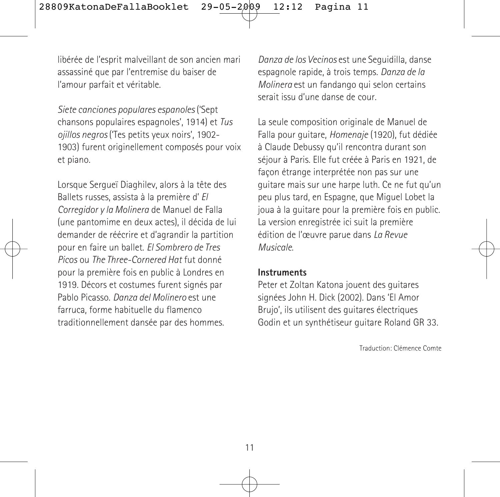libérée de l'esprit malveillant de son ancien mari assassiné que par l'entremise du baiser de l'amour parfait et véritable.

*Siete canciones populares espanoles* ('Sept chansons populaires espagnoles', 1914) et *Tus ojillos negros* ('Tes petits yeux noirs', 1902- 1903) furent originellement composés pour voix et piano.

Lorsque Sergueï Diaghilev, alors à la tête des Ballets russes, assista à la première d' *El Corregidor y la Molinera* de Manuel de Falla (une pantomime en deux actes), il décida de lui demander de réécrire et d'agrandir la partition pour en faire un ballet. *El Sombrero de Tres Picos* ou *The Three-Cornered Hat* fut donné pour la première fois en public à Londres en 1919. Décors et costumes furent signés par Pablo Picasso. *Danza del Molinero* est une farruca, forme habituelle du flamenco traditionnellement dansée par des hommes.

*Danza de los Vecinos* est une Seguidilla, danse espagnole rapide, à trois temps. *Danza de la Molinera* est un fandango qui selon certains serait issu d'une danse de cour.

La seule composition originale de Manuel de Falla pour guitare, *Homenaje* (1920), fut dédiée à Claude Debussy qu'il rencontra durant son séjour à Paris. Elle fut créée à Paris en 1921, de façon étrange interprétée non pas sur une guitare mais sur une harpe luth. Ce ne fut qu'un peu plus tard, en Espagne, que Miguel Lobet la joua à la guitare pour la première fois en public. La version enregistrée ici suit la première édition de l'œuvre parue dans *La Revue Musicale*.

#### **Instruments**

Peter et Zoltan Katona jouent des guitares signées John H. Dick (2002). Dans 'El Amor Brujo', ils utilisent des guitares électriques Godin et un synthétiseur guitare Roland GR 33.

Traduction: Clémence Comte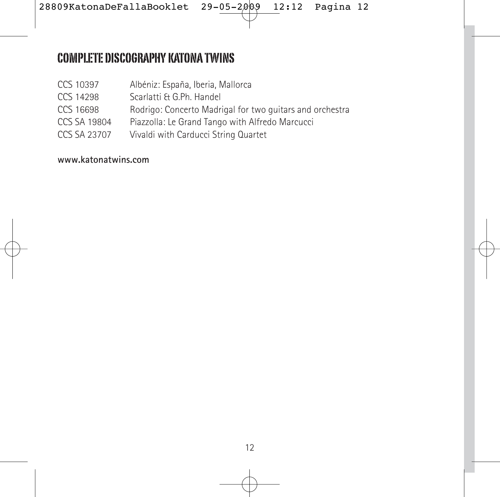## COMPLETE DISCOGRAPHY KATONA TWINS

- CCS 10397 Albéniz: España, Iberia, Mallorca<br>CCS 14298 Scarlatti & G.Ph. Handel
- CCS 14298 Scarlatti & G.Ph. Handel<br>CCS 16698 Rodrigo: Concerto Madr
- Rodrigo: Concerto Madrigal for two guitars and orchestra
- CCS SA 19804 Piazzolla: Le Grand Tango with Alfredo Marcucci<br>CCS SA 23707 Vivaldi with Carducci String Quartet
- Vivaldi with Carducci String Quartet

#### **www.katonatwins.com**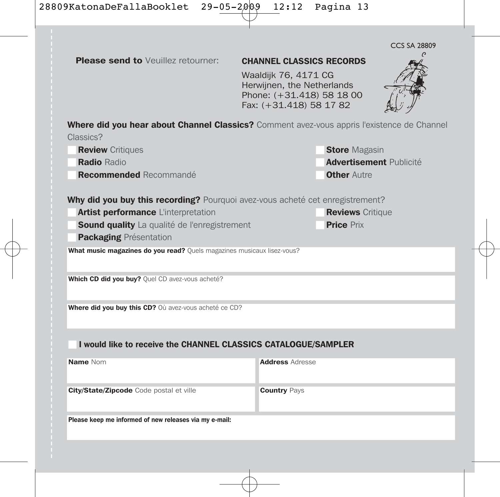CCS SA 28809

Please send to Veuillez retourner:

#### CHANNEL CLASSICS RECORDS

Waaldijk 76, 4171 CG Herwijnen, the Netherlands Phone: (+31.418) 58 18 00 Fax: (+31.418) 58 17 82

Where did you hear about Channel Classics? Comment avez-vous appris l'existence de Channel

Classics?

**Becommended** Recommandé **Branches Autre Becommandé** 

Why did you buy this recording? Pourquoi avez-vous acheté cet enregistrement?

Artist performance L'interpretation and a Reviews Critique

Sound quality La qualité de l'enregistrement **Brice Prix** 

**Packaging Présentation** 

What music magazines do you read? Quels magazines musicaux lisez-vous?

Which CD did you buy? Quel CD avez-vous acheté?

Where did you buy this CD? Où avez-vous acheté ce CD?

I would like to receive the CHANNEL CLASSICS CATALOGUE/SAMPLER

| Name Nom                                               | <b>Address Adresse</b> |
|--------------------------------------------------------|------------------------|
| <b>City/State/Zipcode</b> Code postal et ville         | <b>Country Pays</b>    |
| Please keep me informed of new releases via my e-mail: |                        |

**Review Critiques And Allen Access Access Store Magasin** ■ Radio Radio ■ Advertisement Publicité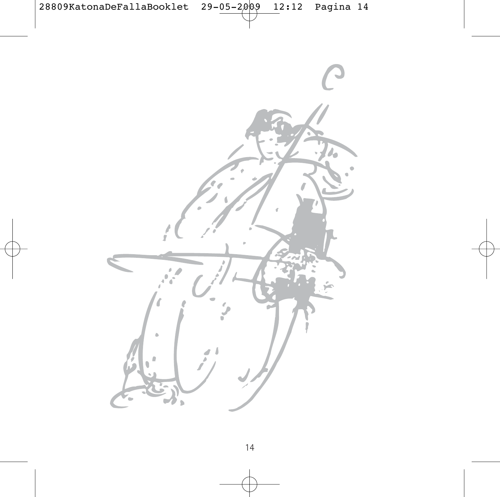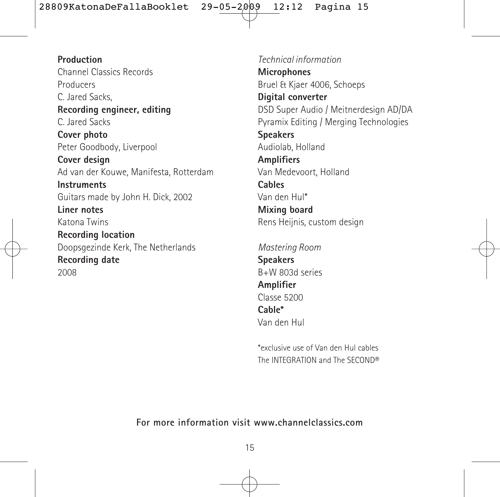**Production** Channel Classics Records **Producers** C. Jared Sacks, **Recording engineer, editing** C. Jared Sacks **Cover photo** Peter Goodbody, Liverpool **Cover design** Ad van der Kouwe, Manifesta, Rotterdam **Instruments** Guitars made by John H. Dick, 2002 **Liner notes** Katona Twins **Recording location** Doopsgezinde Kerk, The Netherlands **Recording date** 2008

*Technical information* **Microphones**  Bruel & Kjaer 4006, Schoeps **Digital converter** DSD Super Audio / Meitnerdesign AD/DA Pyramix Editing / Merging Technologies **Speakers** Audiolab, Holland **Amplifiers** Van Medevoort, Holland **Cables** Van den Hul\* **Mixing board** Rens Heijnis, custom design *Mastering Room* **Speakers**

B+W 803d series **Amplifier** Classe 5200 **Cable\*** Van den Hul

\*exclusive use of Van den Hul cables The INTEGRATION and The SECOND®

**For more information visit www.channelclassics.com**